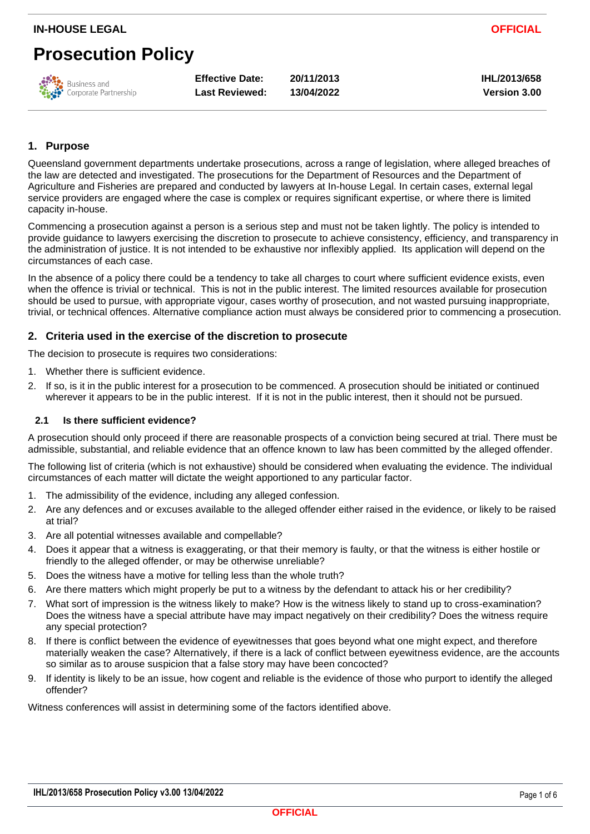# **Prosecution Policy**



**Effective Date: 20/11/2013 IHL/2013/658 Last Reviewed: 13/04/2022 Version 3.00**

#### **1. Purpose**

Queensland government departments undertake prosecutions, across a range of legislation, where alleged breaches of the law are detected and investigated. The prosecutions for the Department of Resources and the Department of Agriculture and Fisheries are prepared and conducted by lawyers at In-house Legal. In certain cases, external legal service providers are engaged where the case is complex or requires significant expertise, or where there is limited capacity in-house.

Commencing a prosecution against a person is a serious step and must not be taken lightly. The policy is intended to provide guidance to lawyers exercising the discretion to prosecute to achieve consistency, efficiency, and transparency in the administration of justice. It is not intended to be exhaustive nor inflexibly applied. Its application will depend on the circumstances of each case.

In the absence of a policy there could be a tendency to take all charges to court where sufficient evidence exists, even when the offence is trivial or technical. This is not in the public interest. The limited resources available for prosecution should be used to pursue, with appropriate vigour, cases worthy of prosecution, and not wasted pursuing inappropriate, trivial, or technical offences. Alternative compliance action must always be considered prior to commencing a prosecution.

#### **2. Criteria used in the exercise of the discretion to prosecute**

The decision to prosecute is requires two considerations:

- 1. Whether there is sufficient evidence.
- 2. If so, is it in the public interest for a prosecution to be commenced. A prosecution should be initiated or continued wherever it appears to be in the public interest. If it is not in the public interest, then it should not be pursued.

#### **2.1 Is there sufficient evidence?**

A prosecution should only proceed if there are reasonable prospects of a conviction being secured at trial. There must be admissible, substantial, and reliable evidence that an offence known to law has been committed by the alleged offender.

The following list of criteria (which is not exhaustive) should be considered when evaluating the evidence. The individual circumstances of each matter will dictate the weight apportioned to any particular factor.

- 1. The admissibility of the evidence, including any alleged confession.
- 2. Are any defences and or excuses available to the alleged offender either raised in the evidence, or likely to be raised at trial?
- 3. Are all potential witnesses available and compellable?
- 4. Does it appear that a witness is exaggerating, or that their memory is faulty, or that the witness is either hostile or friendly to the alleged offender, or may be otherwise unreliable?
- 5. Does the witness have a motive for telling less than the whole truth?
- 6. Are there matters which might properly be put to a witness by the defendant to attack his or her credibility?
- 7. What sort of impression is the witness likely to make? How is the witness likely to stand up to cross-examination? Does the witness have a special attribute have may impact negatively on their credibility? Does the witness require any special protection?
- 8. If there is conflict between the evidence of eyewitnesses that goes beyond what one might expect, and therefore materially weaken the case? Alternatively, if there is a lack of conflict between eyewitness evidence, are the accounts so similar as to arouse suspicion that a false story may have been concocted?
- 9. If identity is likely to be an issue, how cogent and reliable is the evidence of those who purport to identify the alleged offender?

Witness conferences will assist in determining some of the factors identified above.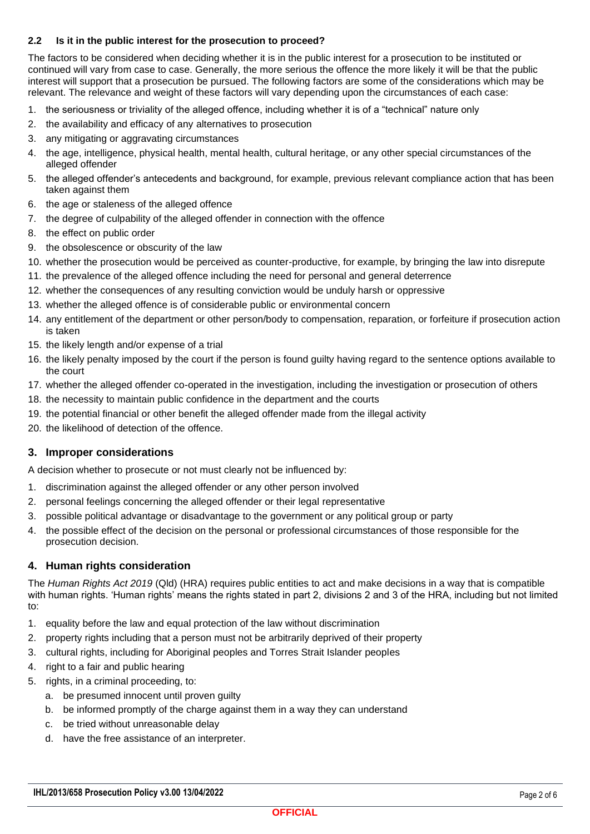#### **2.2 Is it in the public interest for the prosecution to proceed?**

The factors to be considered when deciding whether it is in the public interest for a prosecution to be instituted or continued will vary from case to case. Generally, the more serious the offence the more likely it will be that the public interest will support that a prosecution be pursued. The following factors are some of the considerations which may be relevant. The relevance and weight of these factors will vary depending upon the circumstances of each case:

- 1. the seriousness or triviality of the alleged offence, including whether it is of a "technical" nature only
- 2. the availability and efficacy of any alternatives to prosecution
- 3. any mitigating or aggravating circumstances
- 4. the age, intelligence, physical health, mental health, cultural heritage, or any other special circumstances of the alleged offender
- 5. the alleged offender's antecedents and background, for example, previous relevant compliance action that has been taken against them
- 6. the age or staleness of the alleged offence
- 7. the degree of culpability of the alleged offender in connection with the offence
- 8. the effect on public order
- 9. the obsolescence or obscurity of the law
- 10. whether the prosecution would be perceived as counter-productive, for example, by bringing the law into disrepute
- 11. the prevalence of the alleged offence including the need for personal and general deterrence
- 12. whether the consequences of any resulting conviction would be unduly harsh or oppressive
- 13. whether the alleged offence is of considerable public or environmental concern
- 14. any entitlement of the department or other person/body to compensation, reparation, or forfeiture if prosecution action is taken
- 15. the likely length and/or expense of a trial
- 16. the likely penalty imposed by the court if the person is found guilty having regard to the sentence options available to the court
- 17. whether the alleged offender co-operated in the investigation, including the investigation or prosecution of others
- 18. the necessity to maintain public confidence in the department and the courts
- 19. the potential financial or other benefit the alleged offender made from the illegal activity
- 20. the likelihood of detection of the offence.

#### **3. Improper considerations**

A decision whether to prosecute or not must clearly not be influenced by:

- 1. discrimination against the alleged offender or any other person involved
- 2. personal feelings concerning the alleged offender or their legal representative
- 3. possible political advantage or disadvantage to the government or any political group or party
- 4. the possible effect of the decision on the personal or professional circumstances of those responsible for the prosecution decision.

#### **4. Human rights consideration**

The *Human Rights Act 2019* (Qld) (HRA) requires public entities to act and make decisions in a way that is compatible with human rights. 'Human rights' means the rights stated in part 2, divisions 2 and 3 of the HRA, including but not limited to:

- 1. equality before the law and equal protection of the law without discrimination
- 2. property rights including that a person must not be arbitrarily deprived of their property
- 3. cultural rights, including for Aboriginal peoples and Torres Strait Islander peoples
- 4. right to a fair and public hearing
- 5. rights, in a criminal proceeding, to:
	- a. be presumed innocent until proven guilty
	- b. be informed promptly of the charge against them in a way they can understand
	- c. be tried without unreasonable delay
	- d. have the free assistance of an interpreter.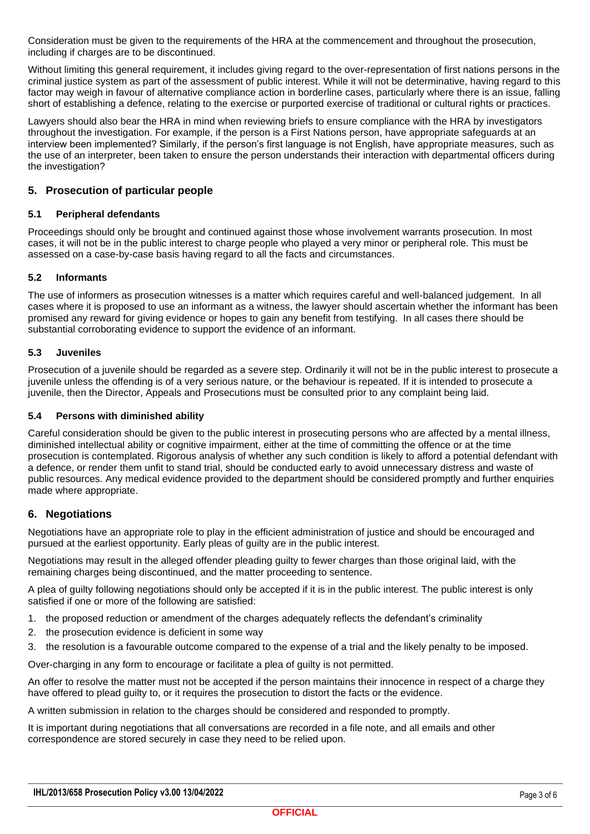Consideration must be given to the requirements of the HRA at the commencement and throughout the prosecution, including if charges are to be discontinued.

Without limiting this general requirement, it includes giving regard to the over-representation of first nations persons in the criminal justice system as part of the assessment of public interest. While it will not be determinative, having regard to this factor may weigh in favour of alternative compliance action in borderline cases, particularly where there is an issue, falling short of establishing a defence, relating to the exercise or purported exercise of traditional or cultural rights or practices.

Lawyers should also bear the HRA in mind when reviewing briefs to ensure compliance with the HRA by investigators throughout the investigation. For example, if the person is a First Nations person, have appropriate safeguards at an interview been implemented? Similarly, if the person's first language is not English, have appropriate measures, such as the use of an interpreter, been taken to ensure the person understands their interaction with departmental officers during the investigation?

#### **5. Prosecution of particular people**

#### **5.1 Peripheral defendants**

Proceedings should only be brought and continued against those whose involvement warrants prosecution. In most cases, it will not be in the public interest to charge people who played a very minor or peripheral role. This must be assessed on a case-by-case basis having regard to all the facts and circumstances.

#### **5.2 Informants**

The use of informers as prosecution witnesses is a matter which requires careful and well-balanced judgement. In all cases where it is proposed to use an informant as a witness, the lawyer should ascertain whether the informant has been promised any reward for giving evidence or hopes to gain any benefit from testifying. In all cases there should be substantial corroborating evidence to support the evidence of an informant.

#### **5.3 Juveniles**

Prosecution of a juvenile should be regarded as a severe step. Ordinarily it will not be in the public interest to prosecute a juvenile unless the offending is of a very serious nature, or the behaviour is repeated. If it is intended to prosecute a juvenile, then the Director, Appeals and Prosecutions must be consulted prior to any complaint being laid.

#### **5.4 Persons with diminished ability**

Careful consideration should be given to the public interest in prosecuting persons who are affected by a mental illness, diminished intellectual ability or cognitive impairment, either at the time of committing the offence or at the time prosecution is contemplated. Rigorous analysis of whether any such condition is likely to afford a potential defendant with a defence, or render them unfit to stand trial, should be conducted early to avoid unnecessary distress and waste of public resources. Any medical evidence provided to the department should be considered promptly and further enquiries made where appropriate.

#### **6. Negotiations**

Negotiations have an appropriate role to play in the efficient administration of justice and should be encouraged and pursued at the earliest opportunity. Early pleas of guilty are in the public interest.

Negotiations may result in the alleged offender pleading guilty to fewer charges than those original laid, with the remaining charges being discontinued, and the matter proceeding to sentence.

A plea of guilty following negotiations should only be accepted if it is in the public interest. The public interest is only satisfied if one or more of the following are satisfied:

- 1. the proposed reduction or amendment of the charges adequately reflects the defendant's criminality
- 2. the prosecution evidence is deficient in some way
- 3. the resolution is a favourable outcome compared to the expense of a trial and the likely penalty to be imposed.

Over-charging in any form to encourage or facilitate a plea of guilty is not permitted.

An offer to resolve the matter must not be accepted if the person maintains their innocence in respect of a charge they have offered to plead guilty to, or it requires the prosecution to distort the facts or the evidence.

A written submission in relation to the charges should be considered and responded to promptly.

It is important during negotiations that all conversations are recorded in a file note, and all emails and other correspondence are stored securely in case they need to be relied upon.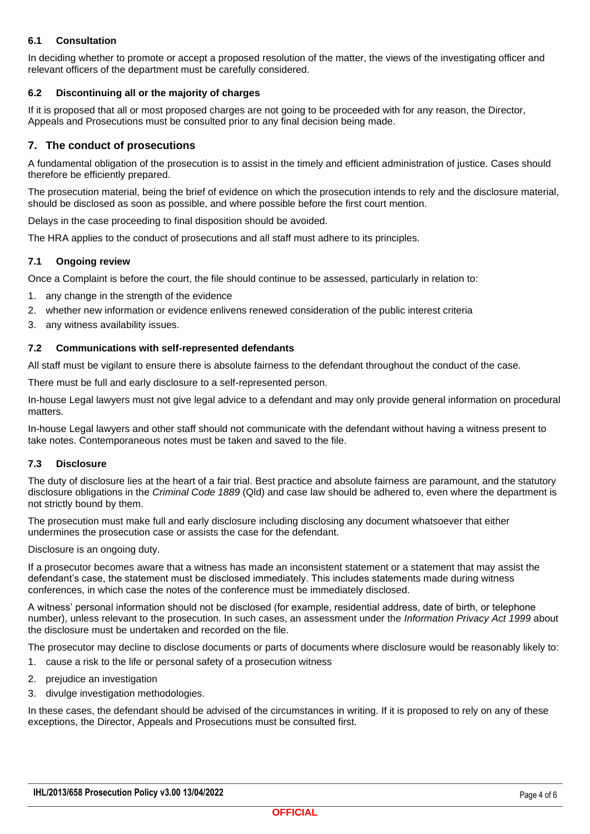#### **6.1 Consultation**

In deciding whether to promote or accept a proposed resolution of the matter, the views of the investigating officer and relevant officers of the department must be carefully considered.

#### **6.2 Discontinuing all or the majority of charges**

If it is proposed that all or most proposed charges are not going to be proceeded with for any reason, the Director, Appeals and Prosecutions must be consulted prior to any final decision being made.

#### **7. The conduct of prosecutions**

A fundamental obligation of the prosecution is to assist in the timely and efficient administration of justice. Cases should therefore be efficiently prepared.

The prosecution material, being the brief of evidence on which the prosecution intends to rely and the disclosure material, should be disclosed as soon as possible, and where possible before the first court mention.

Delays in the case proceeding to final disposition should be avoided.

The HRA applies to the conduct of prosecutions and all staff must adhere to its principles.

#### **7.1 Ongoing review**

Once a Complaint is before the court, the file should continue to be assessed, particularly in relation to:

- 1. any change in the strength of the evidence
- 2. whether new information or evidence enlivens renewed consideration of the public interest criteria
- 3. any witness availability issues.

#### **7.2 Communications with self-represented defendants**

All staff must be vigilant to ensure there is absolute fairness to the defendant throughout the conduct of the case.

There must be full and early disclosure to a self-represented person.

In-house Legal lawyers must not give legal advice to a defendant and may only provide general information on procedural matters.

In-house Legal lawyers and other staff should not communicate with the defendant without having a witness present to take notes. Contemporaneous notes must be taken and saved to the file.

#### **7.3 Disclosure**

The duty of disclosure lies at the heart of a fair trial. Best practice and absolute fairness are paramount, and the statutory disclosure obligations in the *Criminal Code 1889* (Qld) and case law should be adhered to, even where the department is not strictly bound by them.

The prosecution must make full and early disclosure including disclosing any document whatsoever that either undermines the prosecution case or assists the case for the defendant.

Disclosure is an ongoing duty.

If a prosecutor becomes aware that a witness has made an inconsistent statement or a statement that may assist the defendant's case, the statement must be disclosed immediately. This includes statements made during witness conferences, in which case the notes of the conference must be immediately disclosed.

A witness' personal information should not be disclosed (for example, residential address, date of birth, or telephone number), unless relevant to the prosecution. In such cases, an assessment under the *Information Privacy Act 1999* about the disclosure must be undertaken and recorded on the file.

The prosecutor may decline to disclose documents or parts of documents where disclosure would be reasonably likely to:

- 1. cause a risk to the life or personal safety of a prosecution witness
- 2. prejudice an investigation
- 3. divulge investigation methodologies.

In these cases, the defendant should be advised of the circumstances in writing. If it is proposed to rely on any of these exceptions, the Director, Appeals and Prosecutions must be consulted first.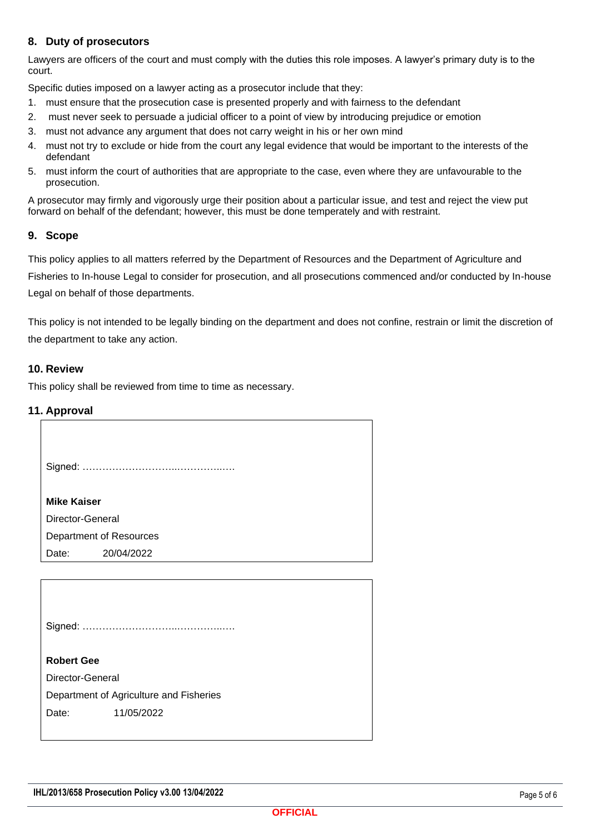#### **8. Duty of prosecutors**

Lawyers are officers of the court and must comply with the duties this role imposes. A lawyer's primary duty is to the court.

Specific duties imposed on a lawyer acting as a prosecutor include that they:

- 1. must ensure that the prosecution case is presented properly and with fairness to the defendant
- 2. must never seek to persuade a judicial officer to a point of view by introducing prejudice or emotion
- 3. must not advance any argument that does not carry weight in his or her own mind
- 4. must not try to exclude or hide from the court any legal evidence that would be important to the interests of the defendant
- 5. must inform the court of authorities that are appropriate to the case, even where they are unfavourable to the prosecution.

A prosecutor may firmly and vigorously urge their position about a particular issue, and test and reject the view put forward on behalf of the defendant; however, this must be done temperately and with restraint.

#### **9. Scope**

This policy applies to all matters referred by the Department of Resources and the Department of Agriculture and Fisheries to In-house Legal to consider for prosecution, and all prosecutions commenced and/or conducted by In-house Legal on behalf of those departments.

This policy is not intended to be legally binding on the department and does not confine, restrain or limit the discretion of the department to take any action.

#### **10. Review**

This policy shall be reviewed from time to time as necessary.

#### **11. Approval**

| .                                       |  |  |  |  |
|-----------------------------------------|--|--|--|--|
|                                         |  |  |  |  |
|                                         |  |  |  |  |
| <b>Mike Kaiser</b>                      |  |  |  |  |
| Director-General                        |  |  |  |  |
| Department of Resources                 |  |  |  |  |
| Date:<br>20/04/2022                     |  |  |  |  |
|                                         |  |  |  |  |
|                                         |  |  |  |  |
|                                         |  |  |  |  |
|                                         |  |  |  |  |
|                                         |  |  |  |  |
| <b>Robert Gee</b>                       |  |  |  |  |
| Director-General                        |  |  |  |  |
| Department of Agriculture and Fisheries |  |  |  |  |
| Date:<br>11/05/2022                     |  |  |  |  |
|                                         |  |  |  |  |